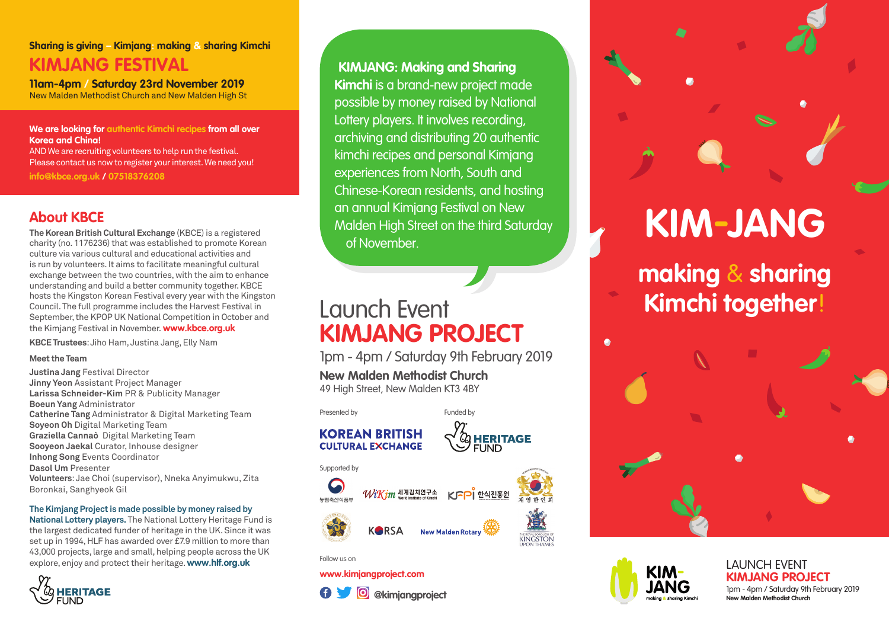### **Sharing is giving – Kimjang: making & sharing Kimchi KIMJANG FESTIVAL**

**11am-4pm / Saturday 23rd November 2019** New Malden Methodist Church and New Malden High St

**We are looking for authentic Kimchi recipes from all over Korea and China!** 

AND We are recruiting volunteers to help run the festival. Please contact us now to register your interest. We need you!

**info@kbce.org.uk / 07518376208**

**The Korean British Cultural Exchange** (KBCE) is a registered charity (no. 1176236) that was established to promote Korean culture via various cultural and educational activities and is run by volunteers. It aims to facilitate meaningful cultural exchange between the two countries, with the aim to enhance understanding and build a better community together. KBCE hosts the Kingston Korean Festival every year with the Kingston Council. The full programme includes the Harvest Festival in September, the KPOP UK National Competition in October and the Kimjang Festival in November. **www.kbce.org.uk**

**KBCE Trustees**: Jiho Ham, Justina Jang, Elly Nam

#### **Meet the Team**

**Justina Jang** Festival Director **Jinny Yeon** Assistant Project Manager **Larissa Schneider-Kim** PR & Publicity Manager **Boeun Yang** Administrator **Catherine Tang** Administrator & Digital Marketing Team **Soyeon Oh** Digital Marketing Team **Graziella Cannaò** Digital Marketing Team **Sooyeon Jaekal** Curator, Inhouse designer **Inhong Song** Events Coordinator **Dasol Um** Presenter **Volunteers**: Jae Choi (supervisor), Nneka Anyimukwu, Zita Boronkai, Sanghyeok Gil

#### **The Kimjang Project is made possible by money raised by**

**National Lottery players.** The National Lottery Heritage Fund is the largest dedicated funder of heritage in the UK. Since it was set up in 1994, HLF has awarded over £7.9 million to more than 43,000 projects, large and small, helping people across the UK explore, enjoy and protect their heritage. **www.hlf.org.uk** LAUNCH EVENT **LAUNCH EVENT** 



About KBCE<br>The Korean British Cultural Exchange (KBCE) is a registered Malden High Street on the third Saturday **KIMJANG: Making and Sharing Kimchi** is a brand-new project made possible by money raised by National Lottery players. It involves recording, archiving and distributing 20 authentic kimchi recipes and personal Kimjang experiences from North, South and Chinese-Korean residents, and hosting an annual Kimjang Festival on New Malden High Street on the third Saturday of November.

## Launch Event **KIMJANG PROJECT**

1pm - 4pm / Saturday 9th February 2019

**New Malden Methodist Church** 49 High Street, New Malden KT3 4BY

Presented by **Funded by Funded by** 





Supported by





KFPI 한식진흥원

KINGSTON

Follow us on

#### **www.kimjangproject.com**



# **making** & **sharing**

**Kimchi together**!



#### **KIMJANG PROJECT** 1pm - 4pm / Saturday 9th February 2019 **New Malden Methodist Church**